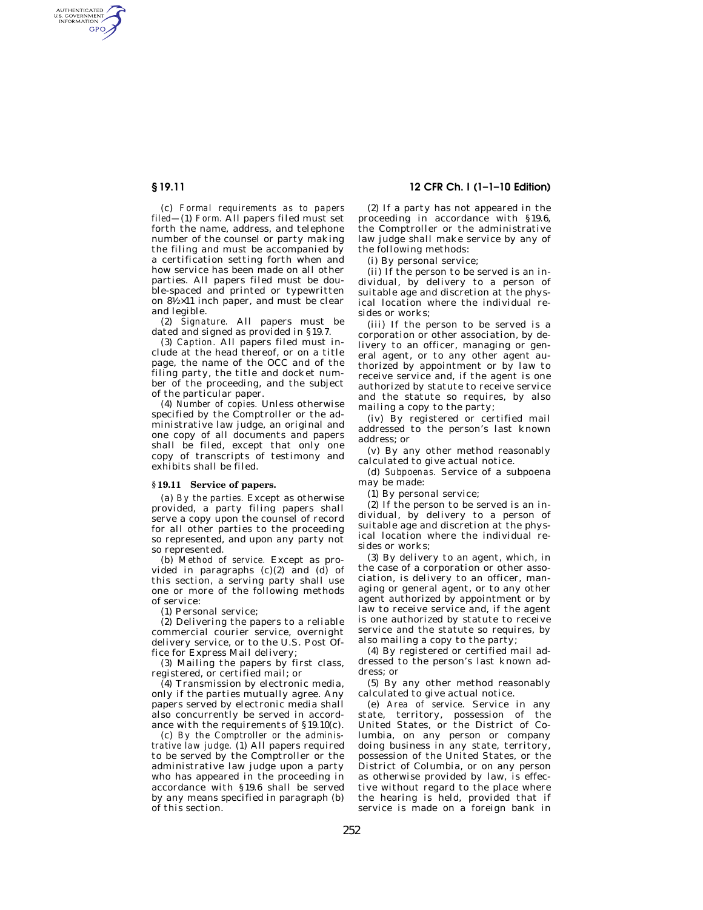AUTHENTICATED<br>U.S. GOVERNMENT<br>INFORMATION GPO

> (c) *Formal requirements as to papers filed—*(1) *Form.* All papers filed must set forth the name, address, and telephone number of the counsel or party making the filing and must be accompanied by a certification setting forth when and how service has been made on all other parties. All papers filed must be double-spaced and printed or typewritten on  $8\frac{1}{2} \times 11$  inch paper, and must be clear and legible.

> (2) *Signature.* All papers must be dated and signed as provided in §19.7.

> (3) *Caption.* All papers filed must include at the head thereof, or on a title page, the name of the OCC and of the filing party, the title and docket number of the proceeding, and the subject of the particular paper.

> (4) *Number of copies.* Unless otherwise specified by the Comptroller or the administrative law judge, an original and one copy of all documents and papers shall be filed, except that only one copy of transcripts of testimony and exhibits shall be filed.

## **§ 19.11 Service of papers.**

(a) *By the parties.* Except as otherwise provided, a party filing papers shall serve a copy upon the counsel of record for all other parties to the proceeding so represented, and upon any party not so represented.

(b) *Method of service.* Except as provided in paragraphs  $(c)(2)$  and  $(d)$  of this section, a serving party shall use one or more of the following methods of service:

(1) Personal service;

(2) Delivering the papers to a reliable commercial courier service, overnight delivery service, or to the U.S. Post Office for Express Mail delivery;

(3) Mailing the papers by first class, registered, or certified mail; or

(4) Transmission by electronic media, only if the parties mutually agree. Any papers served by electronic media shall also concurrently be served in accordance with the requirements of §19.10(c).

(c) *By the Comptroller or the administrative law judge.* (1) All papers required to be served by the Comptroller or the administrative law judge upon a party who has appeared in the proceeding in accordance with §19.6 shall be served by any means specified in paragraph (b) of this section.

# **§ 19.11 12 CFR Ch. I (1–1–10 Edition)**

(2) If a party has not appeared in the proceeding in accordance with §19.6, the Comptroller or the administrative law judge shall make service by any of the following methods:

(i) By personal service;

(ii) If the person to be served is an individual, by delivery to a person of suitable age and discretion at the physical location where the individual resides or works;

(iii) If the person to be served is a corporation or other association, by delivery to an officer, managing or general agent, or to any other agent authorized by appointment or by law to receive service and, if the agent is one authorized by statute to receive service and the statute so requires, by also mailing a copy to the party;

(iv) By registered or certified mail addressed to the person's last known address; or

(v) By any other method reasonably calculated to give actual notice.

(d) *Subpoenas.* Service of a subpoena may be made:

(1) By personal service;

(2) If the person to be served is an individual, by delivery to a person of suitable age and discretion at the physical location where the individual resides or works;

(3) By delivery to an agent, which, in the case of a corporation or other association, is delivery to an officer, managing or general agent, or to any other agent authorized by appointment or by law to receive service and, if the agent is one authorized by statute to receive service and the statute so requires, by also mailing a copy to the party;

(4) By registered or certified mail addressed to the person's last known address; or

(5) By any other method reasonably calculated to give actual notice.

(e) *Area of service.* Service in any state, territory, possession of the United States, or the District of Columbia, on any person or company doing business in any state, territory, possession of the United States, or the District of Columbia, or on any person as otherwise provided by law, is effective without regard to the place where the hearing is held, provided that if service is made on a foreign bank in